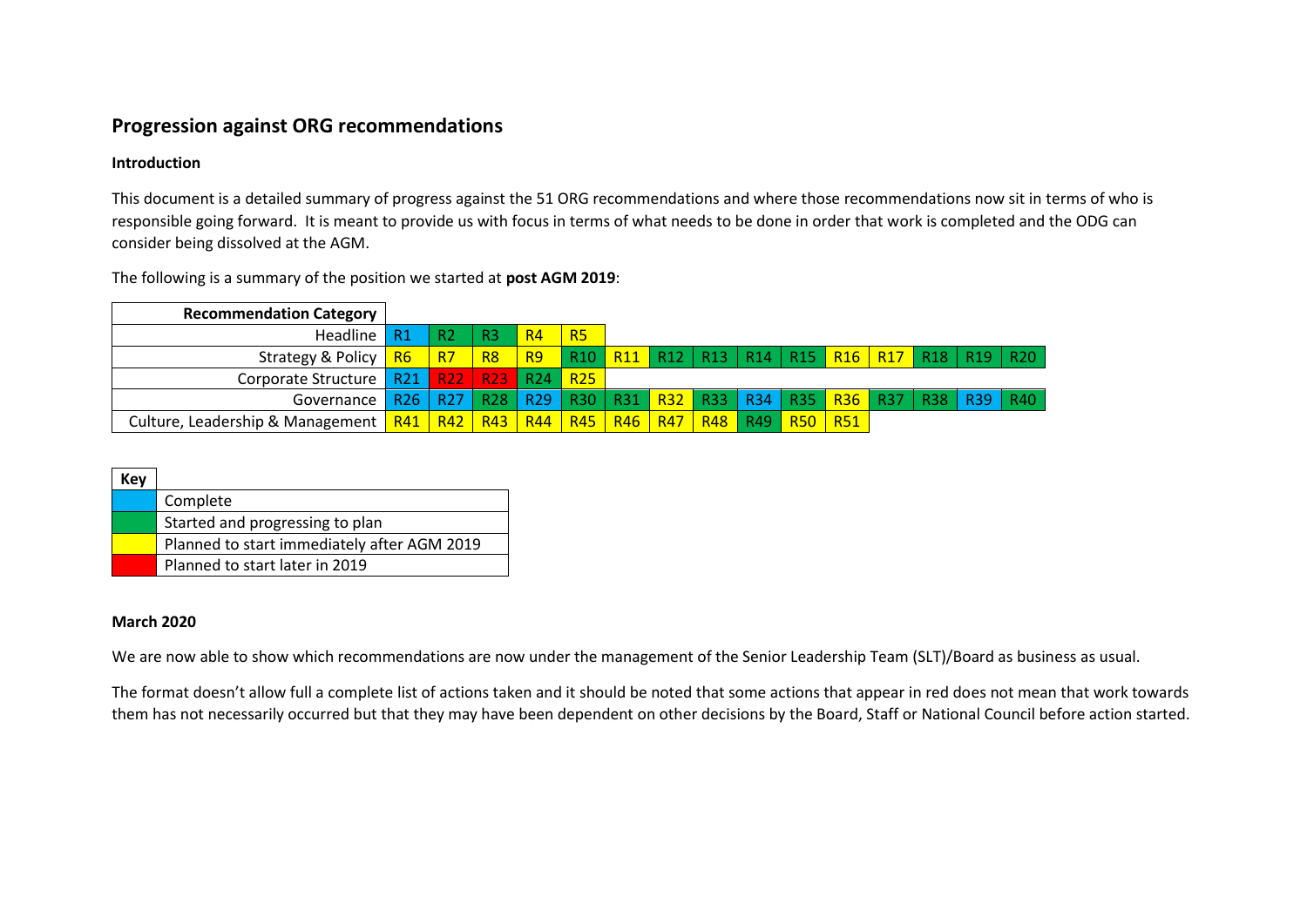## **Progression against ORG recommendations**

## **Introduction**

This document is a detailed summary of progress against the 51 ORG recommendations and where those recommendations now sit in terms of who is responsible going forward. It is meant to provide us with focus in terms of what needs to be done in order that work is completed and the ODG can consider being dissolved at the AGM.

| <b>Recommendation Category</b>                                                                     |                 |                |                |                |                 |  |  |  |  |                                                                                                |  |
|----------------------------------------------------------------------------------------------------|-----------------|----------------|----------------|----------------|-----------------|--|--|--|--|------------------------------------------------------------------------------------------------|--|
| Headline                                                                                           | - R1            | R <sub>2</sub> | R <sub>3</sub> | R <sub>4</sub> | <b>R5</b>       |  |  |  |  |                                                                                                |  |
| Strategy & Policy   R6                                                                             |                 | 1 R7/          | R8             | <b>R9</b>      |                 |  |  |  |  | R10   R11   R12   R13   R14   R15 <mark>  R16   R17  </mark> R18   R19   R20                   |  |
| Corporate Structure   R21   R22   R23   R24                                                        |                 |                |                |                | R <sub>25</sub> |  |  |  |  |                                                                                                |  |
| Governance                                                                                         | R <sub>26</sub> |                |                |                |                 |  |  |  |  | R27   R28   R29   R30   R31 <mark>  R32  </mark> R33   R34   R35   R36   R37   R38   R39   R40 |  |
| Culture, Leadership & Management   R41   R42   R43   R44   R45   R46   R47   R48   R49   R50   R51 |                 |                |                |                |                 |  |  |  |  |                                                                                                |  |

The following is a summary of the position we started at **post AGM 2019**:

| Kev |                                             |
|-----|---------------------------------------------|
|     | Complete                                    |
|     | Started and progressing to plan             |
|     | Planned to start immediately after AGM 2019 |
|     | Planned to start later in 2019              |

## **March 2020**

We are now able to show which recommendations are now under the management of the Senior Leadership Team (SLT)/Board as business as usual.

The format doesn't allow full a complete list of actions taken and it should be noted that some actions that appear in red does not mean that work towards them has not necessarily occurred but that they may have been dependent on other decisions by the Board, Staff or National Council before action started.